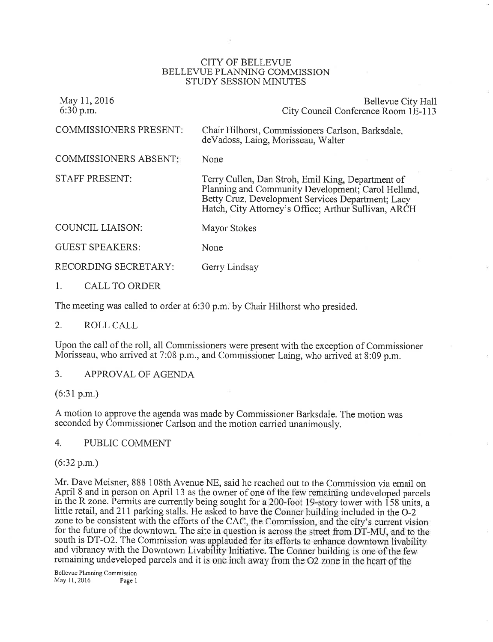#### CITY OF BELLEVUE BELLEVUE PLANNING COMMISSION STUDY SESSION MINUTES

| May 11, 2016<br>$6:30$ p.m.   | Bellevue City Hall<br>City Council Conference Room 1E-113                                                                                                                                                            |
|-------------------------------|----------------------------------------------------------------------------------------------------------------------------------------------------------------------------------------------------------------------|
| <b>COMMISSIONERS PRESENT:</b> | Chair Hilhorst, Commissioners Carlson, Barksdale,<br>de Vadoss, Laing, Morisseau, Walter                                                                                                                             |
| <b>COMMISSIONERS ABSENT:</b>  | None                                                                                                                                                                                                                 |
| <b>STAFF PRESENT:</b>         | Terry Cullen, Dan Stroh, Emil King, Department of<br>Planning and Community Development; Carol Helland,<br>Betty Cruz, Development Services Department; Lacy<br>Hatch, City Attorney's Office; Arthur Sullivan, ARCH |
| COUNCIL LIAISON:              | Mayor Stokes                                                                                                                                                                                                         |
| <b>GUEST SPEAKERS:</b>        | None                                                                                                                                                                                                                 |
| RECORDING SECRETARY:          | Gerry Lindsay                                                                                                                                                                                                        |
| CALL TO ORDER                 |                                                                                                                                                                                                                      |

The meeting was called to order at 6:30 p.m. by Chair Hilhorst who presided.

### 2. ROLL CALL

Upon the call of the rol1, all Commissioners were present with the exception of Commissioner Morisseau, who arrived at 7:08 p.m., and Commissioner Laing, who arrived at 8:09 p.m.

3. APPROVAL OF AGENDA

 $(6:31 p.m.)$ 

<sup>A</sup>motion to approve the agenda was made by Commissioner Barksdale. The motion was seconded by Commissioner Carlson and the motion carried unanimously.

4. PUBLIC COMMENT

(6:32 p.m.)

Mr. Dave Meisner, 888 108th Avenue NE, said he reached out to the Commission via email on April 8 and in person on April 13 as the owner of one of the few remaining undeveloped parcels in the R zone. Permits are currently being sought for a 200-foot 19-story tower with  $\overline{158}$  units, a little retail, and 211 parking stalls. He asked to have the Conner building included in the O-2 zone to be consistent with the efforts of the CAC, the Commission, and the city's current vision for the future of the downtown. The site in question is across the street from DT-MU, and to the south is DT-O2. The Commission was applauded for its efforts to enhance downtown livability and vibrancy with the Downtown Livability Initiative. The Conner building is one of the few remaining undeveloped parcels and it is one inch away from the O2 zone in the heart of the

Bellevue Planning Commission May 1l, 2016 Page <sup>I</sup>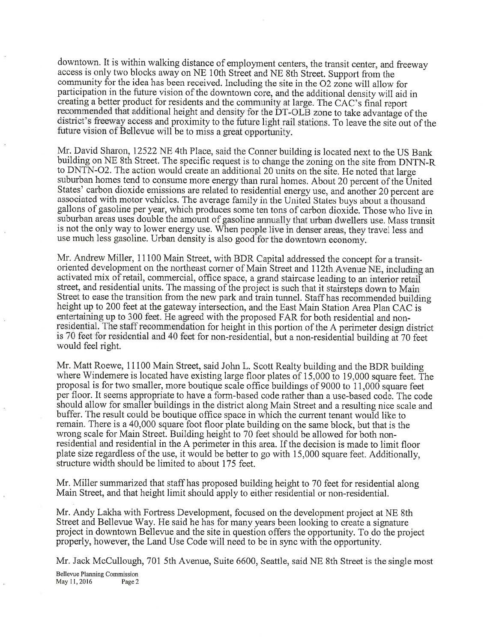downtown. It is within walking distance of employment centers, the transit center, and freeway access is only two blocks away on NE 10th Street and NE 8th Street. Support from the community for the idea has been received. Including the site in the  $O2$  zone will allow for participation in the future vision of the downtown core, and the additional density will aid in creating a better product for residents and the community at large. The CAC's final report onal height and density for the DT-OLB zone to take advantage of the district's freeway access and proximity to the future light rail stations. To leave the site out of the future vision of Bellevue will be to miss a great opportunity.

Mr. David Sharon, 12522 NE 4th Place, said the Conner building is located next to the US Bank building on NE 8th Street. The specific request is to change the zoning on the site from DNTN-R to DNTN-O2. The action would create an additional 20 units on the site. He noted that large suburban homes tend to consume more energy than rural homes. About 20 percent of the United States' carbon dioxide emissions are related to residential energy use, and another 20 percent are associated with motor vehicles. The average family in the United States buys about a thousand gallons of gasoline per year, which produces some ten tons of carbon dioxide. Those who live in suburban areas uses double the amount of gasoline annually that urban dwellers use. Mass transit is not the only way to lower energy use. When people live in denser areas, they travel less and use much less gasoline. Urban density is also good for the downtown economy.

Mr. Andrew Miller, 11100 Main Street, with BDR Capital addressed the concept for a transitoriented development on the northeast corner of Main Street and 112th Avenue NE, including an activated mix of retail, commercial, office space, a grand staircase leading to an interior retail street, and residential units. The massing of the project is such that it stairsteps down to Main Street to ease the transition from the new park and train tunnel. Staff has recommended building height up to 200 feet at the gateway intersection, and the East Main Station Area Plan CAC is entertaining up to 300 feet. He agreed with the proposed FAR for both residential and nonresidential. The staff recommendation for height in this portion of the A perimeter design district is 70 feet for residential and 40 feet for non-residential, but a non-residential building at 70 feet would feel right.

Mr. Matt Roewe, 11100 Main Street, said John L. Scott Realty building and the BDR building where Windemere is located have existing large floor plates of 15,000 to 19,000 square feet. The proposal is for two smaller, more boutique scale office buildings of 9000 to 11,000 square feet per floor. It seems appropriate to have a form-based code rather than a use-based code. The code should allow for smaller buildings in the district along Main Street and a resulting nice scale and buffer. The result could be boutique office space in which the current tenant would like to remain. There is a 40,000 square foot floor plate building on the same block, but that is the wrong scale for Main Street. Building height to 70 feet should be allowed for both nonresidential and residential in the A perimeter in this area. If the decision is made to limit floor plate size regardless of the use, it would be better to go with 15,000 square feet. Additionally, structure width should be limited to about 175 feet.

Mr. Miller summarized that staff has proposed building height to 70 feet for residential along Main Street, and that height limit should apply to either residential or non-residential.

Mr. Andy Lakha with Fortress Development, focused on the development project at NE 8th Street and Bellevue Way. He said he has for many years been looking to create a signature project in downtown Bellevue and the site in question offers the opportunity. To do the project properly, however, the Land Use Code will need to be in sync with the opportunity.

Mr. Jack McCullough, 701 5th Avenue, Suite 6600, Seattle, said NE 8th Street is the single most

Bellevue Planning Commission May ll,2016 Page2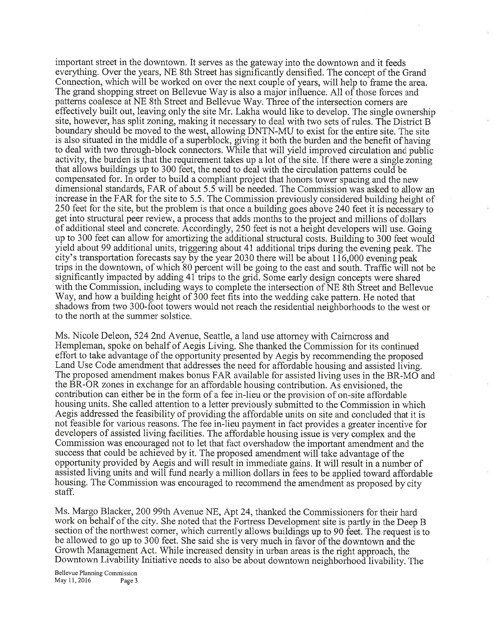important street in the downtown. It serves as the gateway into the downtown and it feeds everything. Over the years, NE Sth Street has significantly densified. The concept of the Grand Connection, which will be worked on over the next couple of years, will help to frame the area. The grand shopping street on Bellevue Way is also a major influence. All of those forces and pattems coalesce at NE 8th Street and Bellevue Way. Three of the intersection comers are effectively built out, leaving only the site Mr. Lakha would like to develop. The single ownership site, however, has split zoning, making it necessary to deal with two sets of rules. The District B boundary should be moved to the west, allowing DNTN-MU to exist for the entire site. The site is also situated in the middle of a superblock, giving it both the burden and the benefit of having to deal with two through-block connectors. While that will yield improved circulation and public activity, the burden is that the requirement takes up a lot of the site. If there were a single zoning that allows buildings up to 300 feet, the need to deal with the circulation pattems could be compensated for. In order to build a compliant project that honors tower spacing and the new dimensional standards, FAR of about 5.5 will be needed. The Commission was asked to allow an increase in the FAR for the site to 5.5. The Commission previously considered building height of 250 feet for the site, but the problem is that once a building goes above 240 feet it is necessary to get into structural peer review, a process that adds months to the project and millions of dollars of additional steel and concrete. Accordingly, 250 feet is not a height developers will use. Going up to 300 feet can allow for amortizing the additional structural costs. Building to 300 feet would yield about 99 additional units, triggering about 41 additional trips during the evening peak. The city's transportation forecasts say by the year 2030 there will be about 116,000 evening peak trips in the downtown, of which 80 percent will be going to the east and south. Traffic will not be significantly impacted by adding 41 trips to the grid. Some early design concepts were shared with the Commission, including ways to complete the intersection of NE 8th Street and Bellevue Way, and how a building height of 300 feet fits into the wedding cake pattem. He noted that shadows from two 300-foot towers would not reach the residential neighborhoods to the west or to the north at the summer solstice.

Ms. Nicole Deleon, 524 2nd Avenue, Seattle, a land use attomey with Cairncross and Hempleman, spoke on behalf of Aegis Living. She thanked the Commission for its continued effort to take advantage of the opportunity presented by Aegis by recommending the proposed Land Use Code amendment that addresses the need for affordable housing and assisted living. The proposed amendment makes bonus FAR available for assisted living uses in the BR-MO and the BR-OR zones in exchange for an affordable housing contribution. As envisioned, the contribution can either be in the form of a fee in-lieu or the provision of on-site affordable housing units. She called attention to a letter previously submitted to the Commission in which Aegis addressed the feasibility of providing the affordable units on site and concluded that it is not feasible for various reasons. The fee in-lieu payment in fact provides a greater incentive for developers of assisted living facilities. The affordable housing issue is very complex and the Commission was encouraged not to let that fact overshadow the important amendment and the success that could be achieved by it. The proposed amendment will take advantage of the opportuaity provided by Aegis and will result in immediate gains. It will result in a number of assisted living units and will fund nearly a million dollars in fees to be applied toward affordable housing. The Commission was encouraged to recommend the amendment as proposed by city staff.

Ms. Margo Blacker, 200 99th Avenue NE, Apt 24, thanked the Commissioners for their hard work on behalf of the city. She noted that the Fortress Development site is partly in the Deep B section of the northwest corner, which currently allows buildings up to 90 feet. The request is to be allowed to go up to 300 feet. She said she is very much in favor of the downtown and the Growth Management Act. While increased density in urban areas is the right approach, the Downtown Livability Initiative needs to also be about downtown neighborhood livability. The

Bellevue Planning Commission May 11,2016 Page 3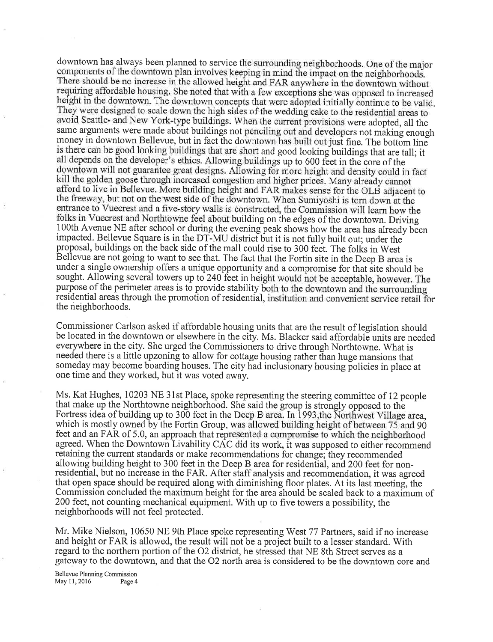downtown has always been planned to service the surrounding neighborhoods. One of the major components of the downtown plan involves keeping in mind the impact on the neighborhoods. There should be no increase in the allowed height and FAR anywhere in the downtown without requiring affordable housing. She noted that with a few exceptions she was opposed to increased height in the downtown. The downtown concepts that were adopted initially continue to be valid. They were designed to scale down the high sides of the wedding cake to the residential areas to avoid Seattle- and New York-type buildings. When the current provisions were adopted, all the same arguments were made about buildings not penciling out and developers not making enough money in downtown Bellevue, but in fact the downtown has built out just fine. The bottom line is there can be good looking buildings that are short and good looking buildings that are tall; it all depends on the developer's ethics. Allowing buildings up to 600 feet in the core of the downtown will not guarantee great designs. Allowing for more height and density could in fact kill the golden goose through increased congestion and higher prices. Many already cannot afford to live in Bellevue. More building height and FAR makes sense for the OLB adjacent to the freeway, but not on the west side of the downtown. When Sumiyoshi is torn down at the entrance to Vuecrest and a five-story walls is constructed, the Commission will learn how the folks in Vuecrest and Northtowne feel about building on the edges of the downtown. Driving 100th Avenue NE after school or during the evening peak shows how the area has already been impacted. Bellevue Square is in the DT-MU district but it is not fully built out; under the proposal, buildings on the back side of the mall could rise to 300 fedt. The folks in West Bellevue are not going to want to see that. The fact that the Fortin site in the Deep B area is under a single ownership offers a unique opportunity and a compromise for that site should be sought. Allowing several towers up to 240 feet in height would not be acceptable, however. The purpose of the perimeter areas is to provide stability both to the downtown and the surrounding residential areas through the promotion of residential, institution and convenient service retail for the neighborhoods.

Commissioner Carlson asked if affordable housing units that are the result of legislation should be located in the downtown or elsewhere in the city. Ms. Blacker said affordable units are needed everywhere in the city. She urged the Commissioners to drive through Northtowne. What is needed there is a little upzoning to allow for cottage housing rather than huge mansions that someday may become boarding houses. The city had inclusionary housing policies in place at one time and they worked, but it was voted away.

Ms. Kat Hughes, 10203 NE 31st Place, spoke representing the steering committee of 12 people that make up the Northtowne neighborhood. She said the group is strongly opposed to the Fortress idea of building up to 300 feet in the Deep B area. In 1993, the Northwest Village area, which is mostly owned by the Fortin Group, was allowed building height of between 75 and 90 feet and an FAR of 5.0, an approach that represented a compromise to which the neighborhood agreed. When the Downtown Livability CAC did its work, it was supposed to either recommend retaining the current standards or make recommendations for change; they recommended ailowing building height to 300 feet in the Deep B area for resideniial, and 200 feet for nonresidential, but no increase in the FAR. After staff analysis and recommendation, it was agreed that open space should be required along with diminishing floor plates. At its last meeting, the Commission concluded the maximum height for the area should be scaled back to a maximum of <sup>200</sup>feet, not counting mechanical equipment. With up to five towers a possibility, the neighborhoods will not feel protected.

Mr. Mike Nielson, 10650 NE 9th Place spoke representing West 77 Partners, said if no increase and height or FAR is allowed, the result will not be a project built to a lesser standard. With regard to the northern portion of the 02 district, he stressed that NE 8th Street serves as <sup>a</sup> gateway to the downtown, and that the 02 north area is considered to be the downtown core and

Bellevue Planning Commission May 11, 2016 Page 4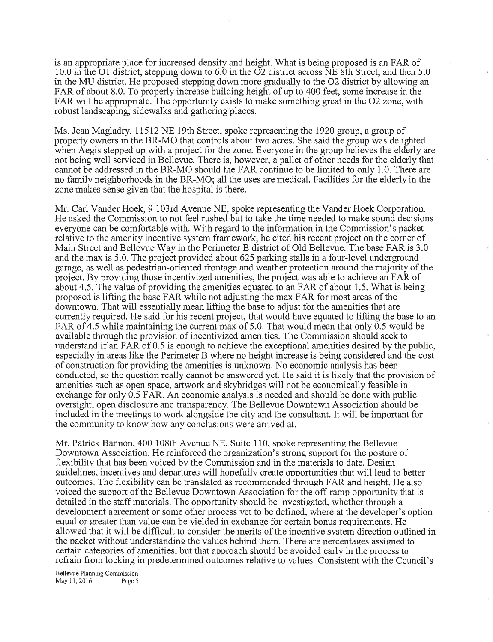is an appropriate place for increased density and height. What is being proposed is an FAR of 10.0 in the O1 district, stepping down to 6.0 in the O2 district across NE 8th Street, and then 5.0 in the MU district. He proposed stepping down more gradually to the 02 district by allowing an FAR of about 8.0. To properly increase building height of up to 400 feet, some increase in the FAR will be appropriate. The opportunity exists to make something great in the 02 zone, with robust landscaping, sidewalks and gathering places.

Ms. Jean Magladry, 11512 NE 19th Street, spoke representing the 1920 group, a group of property owners in the BR-MO that controls about two acres. She said the group was delighted when Aegis stepped up with a project for the zone. Everyone in the group believes the elderly are not being well serviced in Bellevue. There is, however, a pallet of other needs for the elderly that cannot be addressed in the BR-MO should the FAR continue to be limited to only 1.0. There are no family neighborhoods in the BR-MO; all the uses are medical. Facilities for the elderly in the zone makes sense given that the hospital is there.

Mr. Carl Vander Hoek, 9 103rd Avenue NE, spoke representing the Vander Hoek Corporation. He asked the Commission to not feel rushed but to take the time needed to make sound decisions everyone can be comfortable with. With regard to the information in the Commission's packet relative to the amenity incentive system framework, he cited his recent project on the corner of Main Street and Bellevue Way in the Perimeter B district of Old Bellevue. The base FAR is 3.0 and the max is 5.0. The project provided about 625 parking stalls in a four-level underground garage, as well as pedestrian-oriented frontage and weather protection around the majority of the project. By providing those incentivized amenities, the project was able to achieve an FAR of about 4.5. The value of providing the amenities equated to an FAR of about 1.5. What is being proposed is lifting the base FAR while not adjusting the max FAR for most areas of the downtown. That will essentially mean lifting the base to adjust for the amenities that are currently required. He said for his recent project, that would have equated to lifting the base to an FAR of 4.5 while maintaining the current max of 5.0. That would mean that only 0.5 would be available through the provision of incentivized amenities. The Commission should seek to understand if an FAR of 0.5 is enough to achieve the exceptional amenities desired by the public, especially in areas like the Perimeter B where no height increase is being considered and the cost of construction for providing the amenities is unknown. No economic analysis has been conducted, so the question really cannot be answered yet. He said it is likely that the provision of amenities such as open space, artwork and skybridges will not be economically feasible in exchange for only 0.5 FAR. An economic analysis is needed and should be done with public oversight, open disclosure and transparency. The Bellevue Downtown Association should be included in the meetings to work alongside the city and the consultant. It will be important for the community to know how any conclusions were arrived at.

Mr. Patrick Bannon. 400 108th Avenue NE. Suite 1 10. spoke representins the Bellevue Downtown Association. He reinforced the organization's strons support for the posture of flexibility that has been voiced by the Commission and in the materials to date. Design zuidelines. incentives and departures will hopefullv create opporlunities that will lead to better outcomes. The flexibilitv can be translated as recommended throueh FAR and heieht. He also voiced the support of the Bellevue Downtown Association for the off-ramp opportunity that is detailed in the staff materials. The opportunity should be investigated, whether through a development agreement or some other process yet to be defined, where at the developer's option equal or greater than value can be vielded in exchange for certain bonus requirements. He allowed that it will be difficult to consider the merits of the incentive system direction outlined in the packet without understandins the values behind them. There are percentases assisned to certain catesories of amenities. but that approach should be avoided earlv in the process to refrain from locking in predetermined outcomes relative to values. Consistent with the Council's

Bellewe Planning Comrnission May 11, 2016 Page 5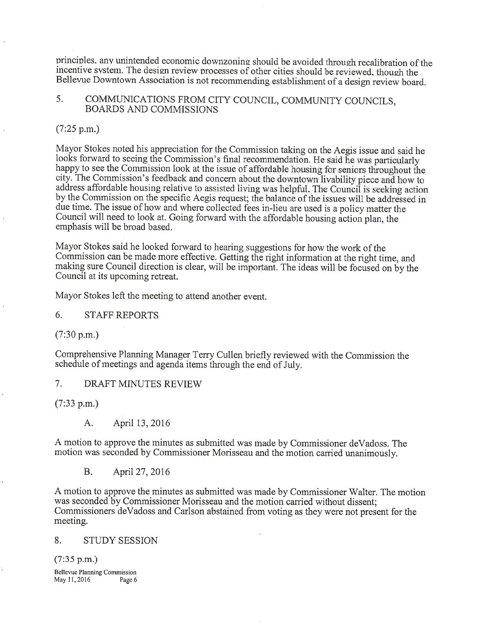principles, any unintended economic downzoning should be avoided through recalibration of the incentive system. The design review processes of other cities should be reviewed, though the Bellevue Downtown Association is not recommending establishment of a design review board.

# 5. COMMUNICATIONS FROM CITY COUNCIL, COMMUNITY COUNCILS, BOARDS AND COMMISSIONS

## (7:25 p.m.)

Mayor Stokes noted his appreciation for the Commission taking on the Aegis issue and said he looks forward to seeing the Commission's final recommendation. He said he was particularly happy to see the Commission look at the issue of affordable housing for seniors throughout the city. The Commission's feedback and concern about the downtown livability piece and how to address affordable housing relative to assisted living was helpful. The Council is seeking action by the Commission on the specific Aegis request; the balance of the issues will be addressed in due time. The issue of how and where collected fees in-lieu are used is a policy matter the Council will need to look at. Going forward with the affordable housing action plan, the emphasis will be broad based.

Mayor Stokes said he looked forward to hearing suggestions for how the work of the Commission can be made more effective. Getting the right information at the right time, and making sure Council direction is clear, will be important. The ideas will be focused on by the Council at its upcoming retreat.

Mayor Stokes left the meeting to attend another event.

6. STAFFREPORTS

(7:30 p.m.)

Comprehensive Planning Manager Terry Cullen briefly reviewed with the Commission the schedule of meetings and agenda items through the end of July.

7. DRAFT MINUTES REVIEW

(7:33 p.m.)

A. April 13, 2016

<sup>A</sup>motion to approve the minutes as submitted was made by Commissioner deVadoss. The motion was seconded by Commissioner Morisseau and the motion carried unanimously.

B. April 27, 2016

<sup>A</sup>motion to approve the minutes as submitted was made by Commissioner Walter. The motion was seconded by Commissioner Morisseau and the motion carried without dissent: Commissioners deVadoss and Carlson abstained from voting as they were not present for the meeting.

### 8. STUDY SESSION

(7:35 p.m.)

Bellewe Planning Commission May 11, 2016 Page 6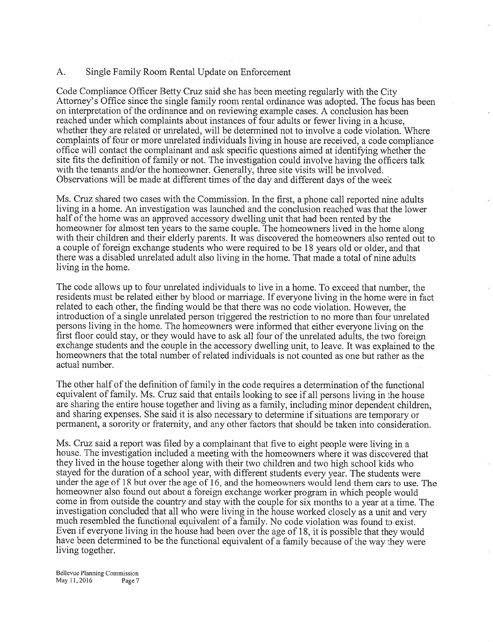### A. Single Family Room Rental Update on Enforcement

Code Compliance Officer Betty Cruz said she has been meeting regularly with the City Attorney's Office since the single family room rental ordinance was adopted. The focus has been on interpretation of the ordinance and on reviewing example cases. A conclusion has been reached under which complaints about instances of four adults or fewer living in a house, whether they are related or unrelated, will be determined not to involve a code violation. Where complaints of four or more unrelated individuals living in house are received, a code compliance office will contact the complainant and ask specific questions aimed at identifying whether the site fits the definition of family or not. The investigation could involve having the officers talk with the tenants and/or the homeowner. Generally, three site visits will be involved. Observations will be made at different times of the day and different days of the week

Ms. Cruz shared two cases with the Commission. In the first, a phone call reported nine adults living in a home. An investigation was launched and the conclusion reached was that the lower half of the home was an approved accessory dwelling unit that had been rented by the homeowner for almost ten years to the same couple. The homeowners lived in the home along with their children and their elderly parents. It was discovered the homeowners also rented out to <sup>a</sup>couple of foreign exchange students who were required to be 18 years old or older, and that there was a disabled unrelated adult also living in the home. That made a total of nine adults living in the home.

The code allows up to four unrelated individuals to live in a home. To exceed that number, the residents must be related either by blood or marriage. If everyone living in the home were in fact related to each other, the finding would be that there was no code violation. However, the introduction of a single unrelated person triggered the restriction to no more than four unrelated persons living in the home. The homeowners were informed that either everyone living on the first floor could stay, or they would have to ask all four of the unrelated adults, the two foreign exchange students and the couple in the accessory dwelling unit, to leave. It was explained to the homeowners that the total number of related individuals is not counted as one but rather as the actual number.

The other half of the definition of family in the code requires a determination of the functional equivalent of family. Ms. Cruz said that entails looking to see if all persons living in the house are sharing the entire house together and living as a family, including minor dependent children, and sharing expenses. She said it is also necessary to determine if situations are temporary or permanent, a sorority or fraternity, and any other factors that should be taken into consideration.

Ms. Cruz said a report was filed by a complainant that five to eight people were living in <sup>a</sup> house. The investigation included a meeting with the homeowners where it was discovered that they lived in the house together along with their two children and two high school kids who stayed for the duration of a school year, with different students every year. The students were under the age of 18 but over the age of 16, and the homeowners would lend them cars to use. The homeowner also found out about a foreign exchange worker program in which people would come in from outside the country and stay with the couple for six months to a year at a time. The investigation concluded that all who were living in the house worked closely as a unit and very much resembled the functional equivalent of a family. No code violation was found to exist. Even if everyone living in the house had been over the age of 18, it is possible that they would have been determined to be the functional equivalent of a family because of the way they were living together.

Bellewe Planning Cornmission May 11, 2016 Page 7